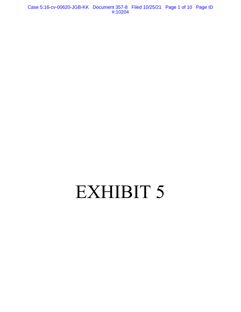Case 5:16-cv-00620-JGB-KK Document 357-8 Filed 10/25/21 Page 1 of 10 Page ID #:10204

# EXHIBIT 5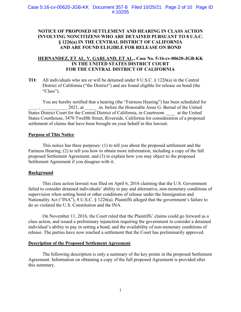# **NOTICE OF PROPOSED SETTLEMENT AND HEARING IN CLASS ACTION INVOLVING NONCITIZENS WHO ARE DETAINED PURSUANT TO 8 U.S.C. § 1226(a) IN THE CENTRAL DISTRICT OF CALIFORNIA AND ARE FOUND ELIGIBLE FOR RELEASE ON BOND**

# **HERNANDEZ, ET AL. V. GARLAND, ET AL., Case No. 5:16-cv-00620-JGB-KK IN THE UNITED STATES DISTRICT COURT FOR THE CENTRAL DISTRICT OF CALIFORNIA**

**TO:** All individuals who are or will be detained under 8 U.S.C. § 1226(a) in the Central District of California ("the District") and are found eligible for release on bond (the "Class").

You are hereby notified that a hearing (the "Fairness Hearing") has been scheduled for 2021, at  $\ldots$  .m. before the Honorable Jesus G. Bernal of the United States District Court for the Central District of California, in Courtroom at the United States Courthouse, 3470 Twelfth Street, Riverside, California for consideration of a proposed settlement of claims that have been brought on your behalf in this lawsuit.

# **Purpose of This Notice**

This notice has three purposes: (1) to tell you about the proposed settlement and the Fairness Hearing; (2) to tell you how to obtain more information, including a copy of the full proposed Settlement Agreement; and (3) to explain how you may object to the proposed Settlement Agreement if you disagree with it.

## **Background**

This class action lawsuit was filed on April 6, 2016 claiming that the U.S. Government failed to consider detained individuals' ability to pay and alternative, non-monetary conditions of supervision when setting bond or other conditions of release under the Immigration and Nationality Act ("INA"), 8 U.S.C. § 1226(a). Plaintiffs alleged that the government's failure to do so violated the U.S. Constitution and the INA.

On November 11, 2016, the Court ruled that the Plaintiffs' claims could go forward as a class action, and issued a preliminary injunction requiring the government to consider a detained individual's ability to pay in setting a bond, and the availability of non-monetary conditions of release. The parties have now reached a settlement that the Court has preliminarily approved.

# **Description of the Proposed Settlement Agreement**

The following description is only a summary of the key points in the proposed Settlement Agreement. Information on obtaining a copy of the full proposed Agreement is provided after this summary.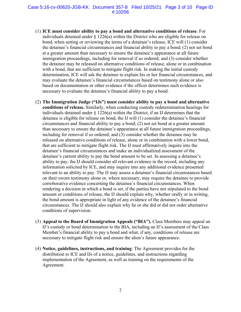#### Case 5:16-cv-00620-JGB-KK Document 357-8 Filed 10/25/21 Page 3 of 10 Page ID #:10206

- (1) **ICE must consider ability to pay a bond and alternative conditions of release**. For individuals detained under § 1226(a) within the District who are eligible for release on bond, when setting or reviewing the terms of a detainee's release, ICE will (1) consider the detainee's financial circumstances and financial ability to pay a bond; (2) not set bond at a greater amount than necessary to ensure the detainee's appearance at all future immigration proceedings, including for removal if so ordered; and (3) consider whether the detainee may be released on alternative conditions of release, alone or in combination with a bond, that are sufficient to mitigate flight risk. In making the initial custody determination, ICE will ask the detainee to explain his or her financial circumstances, and may evaluate the detainee's financial circumstances based on testimony alone or also based on documentation or other evidence if the officer determines such evidence is necessary to evaluate the detainee's financial ability to pay a bond.
- (2) **The Immigration Judge ("IJs") must consider ability to pay a bond and alternative conditions of release.** Similarly, when conducting custody redetermination hearings for individuals detained under  $\S$  1226(a) within the District, if an IJ determines that the detainee is eligible for release on bond, the IJ will (1) consider the detainee's financial circumstances and financial ability to pay a bond; (2) not set bond at a greater amount than necessary to ensure the detainee's appearance at all future immigration proceedings, including for removal if so ordered; and (3) consider whether the detainee may be released on alternative conditions of release, alone or in combination with a lower bond, that are sufficient to mitigate flight risk. The IJ must affirmatively inquire into the detainee's financial circumstances and make an individualized assessment of the detainee's current ability to pay the bond amount to be set. In assessing a detainee's ability to pay, the IJ should consider all relevant evidence in the record, including any information solicited by ICE, and may inquire into any additional evidence presented relevant to an ability to pay. The IJ may assess a detainee's financial circumstances based on their sworn testimony alone or, where necessary, may require the detainee to provide corroborative evidence concerning the detainee's financial circumstances. When rendering a decision in which a bond is set, if the parties have not stipulated to the bond amount or conditions of release, the IJ should explain why, whether orally or in writing, the bond amount is appropriate in light of any evidence of the detainee's financial circumstances. The IJ should also explain why he or she did or did not order alternative conditions of supervision.
- (3) **Appeal to the Board of Immigration Appeals ("BIA").** Class Members may appeal an IJ's custody or bond determination to the BIA, including an IJ's assessment of the Class Member's financial ability to pay a bond and what, if any, conditions of release are necessary to mitigate flight risk and ensure the alien's future appearance.
- (4) **Notice, guidelines, instructions, and training**: The Agreement provides for the distribution to ICE and IJs of a notice, guidelines, and instructions regarding implementation of the Agreement, as well as training on the requirements of the Agreement.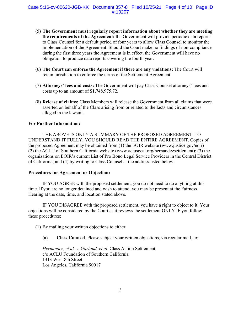- (5) **The Government must regularly report information about whether they are meeting the requirements of the Agreement:** the Government will provide periodic data reports to Class Counsel for a default period of four years to allow Class Counsel to monitor the implementation of the Agreement. Should the Court make no findings of non-compliance during the first three years the Agreement is in effect, the Government will have no obligation to produce data reports covering the fourth year.
- (6) **The Court can enforce the Agreement if there are any violations:** The Court will retain jurisdiction to enforce the terms of the Settlement Agreement.
- (7) **Attorneys' fees and costs:** The Government will pay Class Counsel attorneys' fees and costs up to an amount of \$1,748,975.72.
- (8) **Release of claims:** Class Members will release the Government from all claims that were asserted on behalf of the Class arising from or related to the facts and circumstances alleged in the lawsuit.

# **For Further Information:**

THE ABOVE IS ONLY A SUMMARY OF THE PROPOSED AGREEMENT. TO UNDERSTAND IT FULLY, YOU SHOULD READ THE ENTIRE AGREEMENT. Copies of the proposed Agreement may be obtained from (1) the EOIR website (www.justice.gov/eoir) (2) the ACLU of Southern California website (www.aclusocal.org/hernandezsettlement); (3) the organizations on EOIR's current List of Pro Bono Legal Service Providers in the Central District of California; and (4) by writing to Class Counsel at the address listed below.

## **Procedures for Agreement or Objection:**

IF YOU AGREE with the proposed settlement, you do not need to do anything at this time. If you are no longer detained and wish to attend, you may be present at the Fairness Hearing at the date, time, and location stated above.

IF YOU DISAGREE with the proposed settlement, you have a right to object to it. Your objections will be considered by the Court as it reviews the settlement ONLY IF you follow these procedures:

(1) By mailing your written objections to either:

(a) **Class Counsel**. Please subject your written objections, via regular mail, to:

*Hernandez, et al. v. Garland, et al*. Class Action Settlement c/o ACLU Foundation of Southern California 1313 West 8th Street Los Angeles, California 90017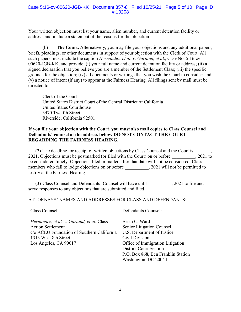#### Case 5:16-cv-00620-JGB-KK Document 357-8 Filed 10/25/21 Page 5 of 10 Page ID #:10208

Your written objection must list your name, alien number, and current detention facility or address, and include a statement of the reasons for the objection.

(b) **The Court.** Alternatively, you may file your objections and any additional papers, briefs, pleadings, or other documents in support of your objection with the Clerk of Court. All such papers must include the caption *Hernandez, et al. v. Garland, et al*., Case No. 5:16-cv-00620-JGB-KK, and provide: (i) your full name and current detention facility or address; (ii) a signed declaration that you believe you are a member of the Settlement Class; (iii) the specific grounds for the objection; (iv) all documents or writings that you wish the Court to consider; and (v) a notice of intent (if any) to appear at the Fairness Hearing. All filings sent by mail must be directed to:

Clerk of the Court United States District Court of the Central District of California United States Courthouse 3470 Twelfth Street Riverside, California 92501

# **If you file your objection with the Court, you must also mail copies to Class Counsel and Defendants' counsel at the address below. DO NOT CONTACT THE COURT REGARDING THE FAIRNESS HEARING.**

(2) The deadline for receipt of written objections by Class Counsel and the Court is  $\frac{1}{2021}$ , 1. Objections must be postmarked (or filed with the Court) on or before 2021. Objections must be postmarked (or filed with the Court) on or before be considered timely. Objections filed or mailed after that date will not be considered. Class members who fail to lodge objections on or before \_\_\_\_\_\_\_\_\_\_, 2021 will not be permitted to testify at the Fairness Hearing.

(3) Class Counsel and Defendants' Counsel will have until \_\_\_\_\_\_\_\_\_\_, 2021 to file and serve responses to any objections that are submitted and filed.

ATTORNEYS' NAMES AND ADDRESSES FOR CLASS AND DEFENDANTS:

Class Counsel:

*Hernandez, et al. v. Garland, et al.* Class Action Settlement c/o ACLU Foundation of Southern California 1313 West 8th Street Los Angeles, CA 90017

Defendants Counsel:

Brian C. Ward Senior Litigation Counsel U.S. Department of Justice Civil Division Office of Immigration Litigation District Court Section P.O. Box 868, Ben Franklin Station Washington, DC 20044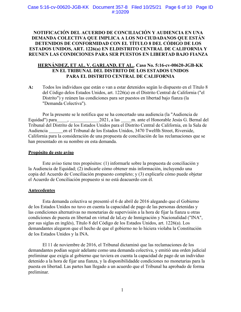# **NOTIFICACIÓN DEL ACUERDO DE CONCILIACIÓN Y AUDIENCIA EN UNA DEMANDA COLECTIVA QUE IMPLICA A LOS NO CIUDADANOS QUE ESTÁN DETENIDOS DE CONFORMIDAD CON EL TÍTULO 8 DEL CÓDIGO DE LOS ESTADOS UNIDOS, ART. 1226(a) EN ELDISTRITO CENTRAL DE CALIFORNIA Y REUNEN LAS CONDICIONES PARA SER PUESTOS EN LIBERTAD BAJO FIANZA**

# **HERNÁNDEZ, ET AL. V. GARLAND, ET AL.**, **Caso No. 5:16-cv-00620-JGB-KK EN EL TRIBUNAL DEL DISTRITO DE LOS ESTADOS UNIDOS PARA EL DISTRITO CENTRAL DE CALIFORNIA**

**A:** Todos los individuos que están o van a estar detenidos según lo dispuesto en el Título 8 del Código delos Estados Unidos, art. 1226(a) en el Distrito Central de California ("el Distrito") y reúnen las condiciones para ser puestos en libertad bajo fianza (la "Demanda Colectiva").

Por la presente se le notifica que se ha concertado una audiencia (la "Audiencia de Equidad") para , 2021, a las m. ante el Honorable Jesús G. Bernal del Tribunal del Distrito de los Estados Unidos para el Distrito Central de California, en la Sala de Audiencia en el Tribunal de los Estados Unidos, 3470 Twelfth Street, Riverside, California para la consideración de una propuesta de conciliación de las reclamaciones que se han presentado en su nombre en esta demanda.

#### **Propósito de este aviso**

Este aviso tiene tres propósitos: (1) informarle sobre la propuesta de conciliación y la Audiencia de Equidad; (2) indicarle cómo obtener más información, incluyendo una copia del Acuerdo de Conciliación propuesto completo; y (3) explicarle cómo puede objetar el Acuerdo de Conciliación propuesto si no está deacuerdo con él.

## **Antecedentes**

Esta demanda colectiva se presentó el 6 de abril de 2016 alegando que el Gobierno de los Estados Unidos no tuvo en cuenta la capacidad de pago de las personas detenidas y las condiciones alternativas no monetarias de supervisión a la hora de fijar la fianza u otras condiciones de puesta en libertad en virtud de laLey de Inmigración y Nacionalidad ("INA", por sus siglas en inglés), Título 8 del Código de los Estados Unidos, art. 1226(a). Los demandantes alegaron que el hecho de que el gobierno no lo hiciera violaba la Constitución de los Estados Unidos y la INA.

El 11 de noviembre de 2016, el Tribunal dictaminó que las reclamaciones de los demandantes podían seguir adelante como una demanda colectiva, y emitió una orden judicial preliminar que exigía al gobierno que tuviera en cuenta la capacidad de pago de un individuo detenido a la hora de fijar una fianza, y la disponibilidadde condiciones no monetarias para la puesta en libertad. Las partes han llegado a un acuerdo que el Tribunal ha aprobado de forma preliminar.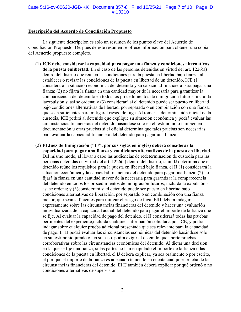#### Case 5:16-cv-00620-JGB-KK Document 357-8 Filed 10/25/21 Page 7 of 10 Page ID #:10210

#### **Descripción del Acuerdo de Conciliación Propuesto**

La siguiente descripción es sólo un resumen de los puntos clave del Acuerdo de Conciliación Propuesto. Después de este resumen se ofrece información para obtener una copia del Acuerdo propuesto completo.

- (1) **ICE debe considerar la capacidad para pagar una fianza y condiciones alternativas de la puesta enlibertad.** En el caso de las personas detenidas en virtud del art. 1226(a) dentro del distrito que reúnen lascondiciones para la puesta en libertad bajo fianza, al establecer o revisar las condiciones de la puesta en libertad de un detenido, ICE (1) considerará la situación económica del detenido y su capacidad financiera para pagar una fianza; (2) no fijará la fianza en una cantidad mayor de la necesaria para garantizar la comparecencia del detenido en todos los procedimientos de inmigración futuros, incluida laexpulsión si así se ordena; y (3) considerará si el detenido puede ser puesto en libertad bajo condiciones alternativas de libertad, por separado o en combinación con una fianza, que sean suficientes para mitigarel riesgo de fuga. Al tomar la determinación inicial de la custodia, ICE pedirá al detenido que explique su situación económica y podrá evaluar las circunstancias financieras del detenido basándose sólo en el testimonio o también en la documentación u otras pruebas si el oficial determina que tales pruebas son necesarias para evaluar la capacidad financiera del detenido para pagar una fianza.
- (2) **El Juez de Inmigración ("IJ", por sus siglas en inglés) deberá considerar la capacidad para pagar una fianza y condiciones alternativas de la puesta en libertad.**  Del mismo modo, al llevar a cabo las audiencias de redeterminación de custodia para las personas detenidas en virtud del art. 1226(a) dentro del distrito, si un IJ determina que el detenido reúne los requisitos para la puesta en libertad bajo fianza, el IJ (1) considerará la situación económica y la capacidad financiera del detenido para pagar una fianza; (2) no fijará la fianza en una cantidad mayor de la necesaria para garantizar la comparecencia del detenido en todos los procedimientos de inmigración futuros, incluida la expulsión si así se ordena; y (3)considerará si el detenido puede ser puesto en libertad bajo condiciones alternativas de liberación, por separado o en combinación con una fianza menor, que sean suficientes para mitigar el riesgo de fuga. ElIJ deberá indagar expresamente sobre las circunstancias financieras del detenido y hacer una evaluación individualizada de la capacidad actual del detenido para pagar el importe de la fianza que se fije. Al evaluar la capacidad de pago del detenido, el IJ considerará todas las pruebas pertinentes del expediente,incluida cualquier información solicitada por ICE, y podrá indagar sobre cualquier prueba adicional presentada que sea relevante para la capacidad de pago. El IJ podrá evaluar las circunstancias económicas del detenido basándose solo en su testimonio jurado o, en su caso, podrá exigir al detenido que aporte pruebas corroborativas sobre las circunstancias económicas del detenido. Al dictar una decisión en la que se fije una fianza, si las partes no han estipulado el importe de la fianza o las condiciones de la puesta en libertad, el IJ deberá explicar, ya sea oralmente o por escrito, el por qué el importe de la fianza es adecuado teniendo en cuenta cualquier prueba de las circunstancias financieras del detenido. El IJ también deberá explicar por qué ordenó o no condiciones alternativas de supervisión.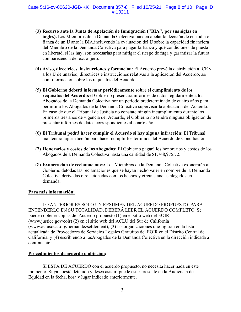- (3) **Recurso ante la Junta de Apelación de Inmigración ("BIA", por sus siglas en inglés).** Los Miembros de la Demanda Colectiva pueden apelar la decisión de custodia o fianza de un IJ ante la BIA,incluyendo la evaluación del IJ sobre la capacidad financiera del Miembro de la Demanda Colectiva para pagar la fianza y qué condiciones de puesta en libertad, si las hay, son necesarias para mitigar el riesgo de fuga y garantizar la futura comparecencia del extranjero.
- (4) **Aviso, directrices, instrucciones y formación**: El Acuerdo prevé la distribución a ICE y a los IJ de unaviso, directrices e instrucciones relativas a la aplicación del Acuerdo, así como formación sobre los requisitos del Acuerdo.
- (5) **El Gobierno deberá informar periódicamente sobre el cumplimiento de los requisitos del Acuerdo:**el Gobierno presentará informes de datos regularmente a los Abogados de la Demanda Colectiva por un período predeterminado de cuatro años para permitir a los Abogados de la Demanda Colectiva supervisar la aplicación del Acuerdo. En caso de que el Tribunal de Justicia no constate ningún incumplimiento durante los primeros tres años de vigencia del Acuerdo, el Gobierno no tendrá ninguna obligación de presentar informes de datos correspondientes al cuarto año.
- (6) **El Tribunal podrá hacer cumplir el Acuerdo si hay alguna infracción:** El Tribunal mantendrá lajurisdicción para hacer cumplir los términos del Acuerdo de Conciliación.
- (7) **Honorarios y costos de los abogados:** El Gobierno pagará los honorarios y costos de los Abogados dela Demanda Colectiva hasta una cantidad de \$1,748,975.72.
- (8) **Exoneración de reclamaciones:** Los Miembros de la Demanda Colectiva exonerarán al Gobierno detodas las reclamaciones que se hayan hecho valer en nombre de la Demanda Colectiva derivadas o relacionadas con los hechos y circunstancias alegados en la demanda.

## **Para más información:**

LO ANTERIOR ES SÓLO UN RESUMEN DEL ACUERDO PROPUESTO. PARA ENTENDERLO EN SU TOTALIDAD, DEBERÁ LEER EL ACUERDO COMPLETO. Se pueden obtener copias del Acuerdo propuesto (1) en el sitio web del EOIR [\(www.justice.gov/eoir\) \(](http://www.justice.gov/eoir))2) en el sitio web del ACLU del Sur de California [\(www.aclusocal.org/hernandezsettlement\); \(](http://www.aclusocal.org/hernandezsettlement)%3B)3) las organizaciones que figuran en la lista actualizada de Proveedores de Servicios Legales Gratuitos del EOIR en el Distrito Central de California; y (4) escribiendo a losAbogados de la Demanda Colectiva en la dirección indicada a continuación.

## **Procedimientos de acuerdo u objeción:**

SI ESTÁ DE ACUERDO con el acuerdo propuesto, no necesita hacer nada en este momento. Si ya noestá detenido y desea asistir, puede estar presente en la Audiencia de Equidad en la fecha, hora y lugar indicado anteriormente.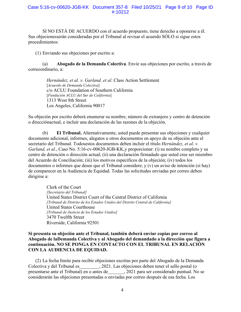#### Case 5:16-cv-00620-JGB-KK Document 357-8 Filed 10/25/21 Page 9 of 10 Page ID #:10212

SI NO ESTÁ DE ACUERDO con el acuerdo propuesto, tiene derecho a oponerse a él. Sus objecionesserán consideradas por el Tribunal al revisar el acuerdo SÓLO si sigue estos procedimientos:

(1) Enviando sus objeciones por escrito a:

(a) **Abogado de la Demanda Colectiva**. Envíe sus objeciones por escrito, a través de correoordinario, a:

> *Hernández, et al. v. Garland, et al*. Class Action Settlement [*Acuerdo de Demanda Colectiva*] c/o ACLU Foundation of Southern California [*Fundación ACLU del Sur de California*] 1313 West 8th Street Los Angeles, California 90017

Su objeción por escrito deberá enumerar su nombre, número de extranjero y centro de detención o direcciónactual, e incluir una declaración de las razones de la objeción.

(b) **El Tribunal.** Alternativamente, usted puede presentar sus objeciones y cualquier documento adicional, informes, alegatos u otros documentos en apoyo de su objeción ante el secretario del Tribunal. Todosestos documentos deben incluir el título *Hernández, et al. v. Garland, et al*., Caso No. 5:16-cv-00620-JGB-KK,y proporcionar: (i) su nombre completo y su centro de detención o dirección actual; (ii) una declaración firmadade que usted cree ser miembro del Acuerdo de Conciliación; (iii) los motivos específicos de la objeción; (iv) todos los documentos o informes que desee que el Tribunal considere; y (v) un aviso de intención (si hay) de comparecer en la Audiencia de Equidad. Todas las solicitudes enviadas por correo deben dirigirse a:

> Clerk of the Court *[Secretario del Tribunal]* United States District Court of the Central District of California *[Tribunal de Distrito de los Estados Unidos del Distrito Central de California]* United States Courthouse *[Tribunal de Justicia de los Estados Unidos]* 3470 Twelfth Street Riverside, California 92501

**Si presenta su objeción ante el Tribunal, también deberá enviar copias por correo al Abogado de laDemanda Colectiva y al Abogado del demandado a la dirección que figura a continuación. NO SE PONGA EN CONTACTO CON EL TRIBUNAL EN RELACIÓN CON LA AUDIENCIA DE EQUIDAD.**

(2) La fecha límite para recibir objeciones escritas por parte del Abogado de la Demanda Colectiva y del Tribunal es , 2021. Las objeciones deben tener el sello postal (o presentarse ante el Tribunal) en o antes de , 2021 para ser considerado puntual. No se considerarán las objeciones presentadas o enviadas por correo después de esa fecha. Los